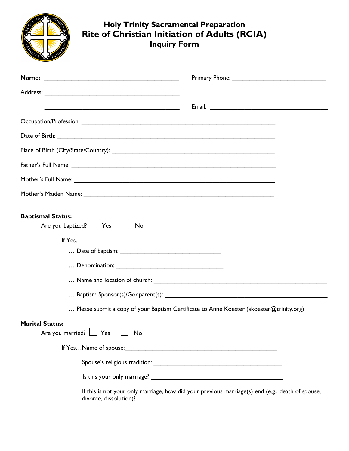| <b>Holy Trinity Sacramental Preparation</b><br>Rite of Christian Initiation of Adults (RCIA)<br><b>Inquiry Form</b> |                                                                                         |
|---------------------------------------------------------------------------------------------------------------------|-----------------------------------------------------------------------------------------|
|                                                                                                                     |                                                                                         |
|                                                                                                                     |                                                                                         |
| <u> 1989 - Johann Stone, fransk politiker (d. 1989)</u>                                                             |                                                                                         |
|                                                                                                                     |                                                                                         |
|                                                                                                                     |                                                                                         |
|                                                                                                                     |                                                                                         |
|                                                                                                                     |                                                                                         |
|                                                                                                                     |                                                                                         |
|                                                                                                                     |                                                                                         |
| <b>Baptismal Status:</b><br>Are you baptized? $\Box$ Yes $\Box$ No<br>If Yes                                        |                                                                                         |
|                                                                                                                     |                                                                                         |
|                                                                                                                     |                                                                                         |
|                                                                                                                     |                                                                                         |
|                                                                                                                     |                                                                                         |
|                                                                                                                     | Please submit a copy of your Baptism Certificate to Anne Koester (akoester@trinity.org) |

## **Marital Status:**

Are you married?  $\Box$  Yes  $\Box$  No

If Yes…Name of spouse:\_\_\_\_\_\_\_\_\_\_\_\_\_\_\_\_\_\_\_\_\_\_\_\_\_\_\_\_\_\_\_\_\_\_\_\_\_\_\_\_\_\_\_\_

Spouse's religious tradition: \_\_\_\_\_\_\_\_\_\_\_\_\_\_\_\_\_\_\_\_\_\_\_\_\_\_\_\_\_\_\_\_\_\_\_\_\_

Is this your only marriage? \_\_\_\_\_\_\_\_\_\_\_\_\_\_\_\_\_\_\_\_\_\_\_\_\_\_\_\_\_\_\_\_\_\_\_\_\_\_

If this is not your only marriage, how did your previous marriage(s) end (e.g., death of spouse, divorce, dissolution)?